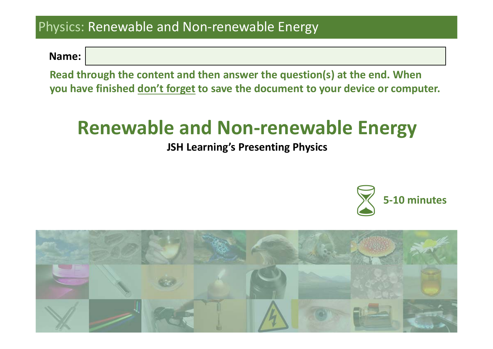**Name:**

**Read through the content and then answer the question(s) at the end. When you have finished don't forget to save the document to your device or computer.**

# **Renewable and Non‐renewable Energy**

**JSH Learning's Presenting Physics**



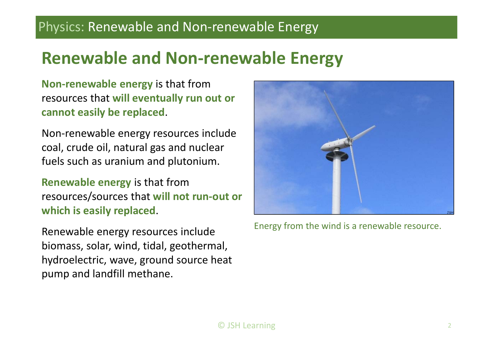## **Renewable and Non‐renewable Energy**

**Non‐renewable energy** is that from resources that **will eventually run out or cannot easily be replaced**.

Non‐renewable energy resources include coal, crude oil, natural gas and nuclear fuels such as uranium and plutonium.

**Renewable energy** is that from resources/sources that **will not run‐out or which is easily replaced**.

Renewable energy resources include biomass, solar, wind, tidal, geothermal, hydroelectric, wave, ground source heat pump and landfill methane.



Energy from the wind is a renewable resource.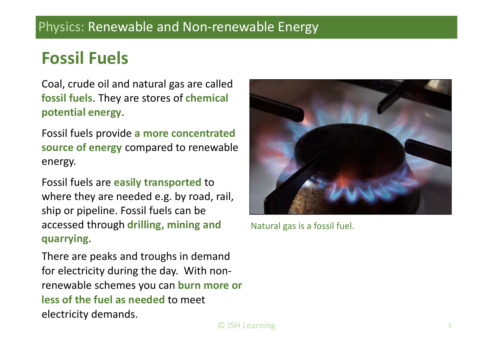## **Fossil Fuels**

Coal, crude oil and natural gas are called **fossil fuels**. They are stores of **chemical potential energy**.

Fossil fuels provide **a more concentrated source of energy** compared to renewable energy.

Fossil fuels are **easily transported** to where they are needed e.g. by road, rail, ship or pipeline. Fossil fuels can be accessed through **drilling, mining and quarrying**.

There are peaks and troughs in demand for electricity during the day. With non‐ renewable schemes you can **burn more or less of the fuel as needed** to meet electricity demands.



Natural gas is a fossil fuel.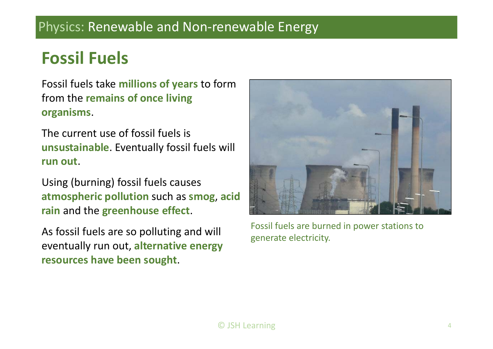# **Fossil Fuels**

Fossil fuels take **millions of years** to form from the **remains of once living organisms**.

The current use of fossil fuels is **unsustainable**. Eventually fossil fuels will **run out**.

Using (burning) fossil fuels causes **atmospheric pollution** such as **smog**, **acid rain** and the **greenhouse effect**.

As fossil fuels are so polluting and will eventually run out, **alternative energy resources have been sought**.



Fossil fuels are burned in power stations to generate electricity.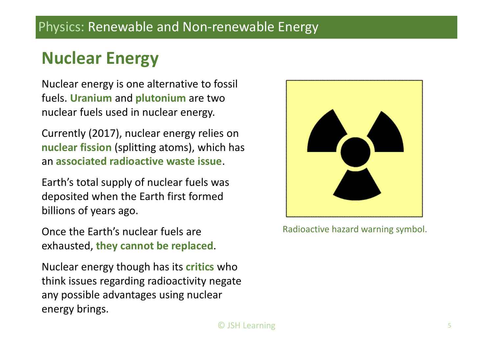# **Nuclear Energy**

Nuclear energy is one alternative to fossil fuels. **Uranium** and **plutonium** are two nuclear fuels used in nuclear energy.

Currently (2017), nuclear energy relies on **nuclear fission** (splitting atoms), which has an **associated radioactive waste issue**.

Earth's total supply of nuclear fuels was deposited when the Earth first formed billions of years ago.

Once the Earth's nuclear fuels are exhausted, **they cannot be replaced**.

Nuclear energy though has its **critics** who think issues regarding radioactivity negate any possible advantages using nuclear energy brings.



Radioactive hazard warning symbol.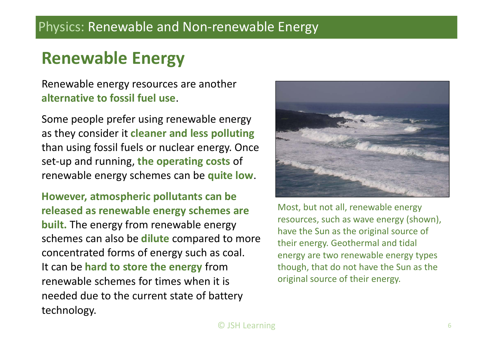# **Renewable Energy**

Renewable energy resources are another **alternative to fossil fuel use**.

Some people prefer using renewable energy as they consider it **cleaner and less polluting**  than using fossil fuels or nuclear energy. Once set‐up and running, **the operating costs** of renewable energy schemes can be **quite low**.

**However, atmospheric pollutants can be released as renewable energy schemes are built.** The energy from renewable energy schemes can also be **dilute** compared to more concentrated forms of energy such as coal. It can be **hard to store the energy** from renewable schemes for times when it is needed due to the current state of battery technology.



Most, but not all, renewable energy resources, such as wave energy (shown), have the Sun as the original source of their energy. Geothermal and tidal energy are two renewable energy types though, that do not have the Sun as the original source of their energy.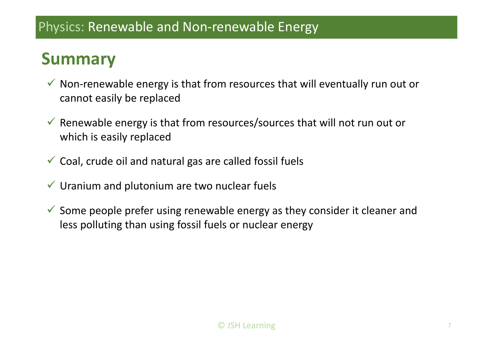## **Summary**

- $\checkmark$  Non-renewable energy is that from resources that will eventually run out or cannot easily be replaced
- $\checkmark$  Renewable energy is that from resources/sources that will not run out or which is easily replaced
- $\checkmark$  Coal, crude oil and natural gas are called fossil fuels
- $\checkmark$  Uranium and plutonium are two nuclear fuels
- $\checkmark$  Some people prefer using renewable energy as they consider it cleaner and less polluting than using fossil fuels or nuclear energy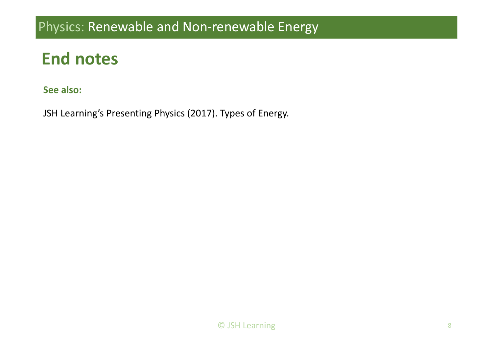## **End notes**

**See also:**

JSH Learning's Presenting Physics (2017). Types of Energy.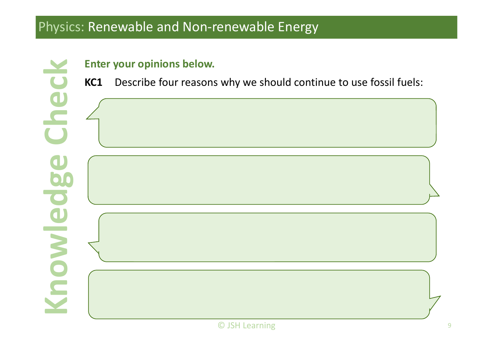#### **Enter your opinions below.**

**KC1**Describe four reasons why we should continue to use fossil fuels:

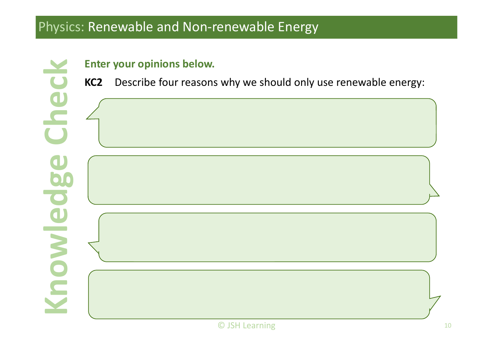#### **Enter your opinions below.**

**KC2**Describe four reasons why we should only use renewable energy: